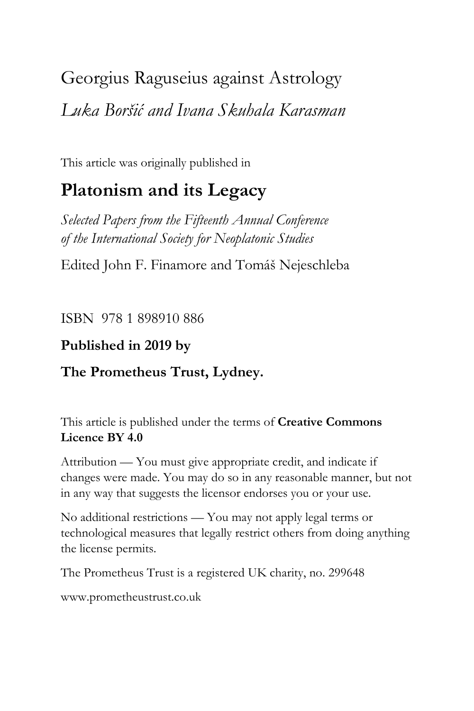# Georgius Raguseius against Astrology *Luka Boršić and Ivana Skuhala Karasman*

This article was originally published in

## **Platonism and its Legacy**

*Selected Papers from the Fifteenth Annual Conference of the International Society for Neoplatonic Studies*

Edited John F. Finamore and Tomáš Nejeschleba

ISBN 978 1 898910 886

## **Published in 2019 by**

## **The Prometheus Trust, Lydney.**

This article is published under the terms of **Creative Commons Licence BY 4.0**

Attribution — You must give appropriate credit, and indicate if changes were made. You may do so in any reasonable manner, but not in any way that suggests the licensor endorses you or your use.

No additional restrictions — You may not apply legal terms or technological measures that legally restrict others from doing anything the license permits.

The Prometheus Trust is a registered UK charity, no. 299648

[www.prometheustrust.co.uk](http://www.prometheustrust.co.uk/)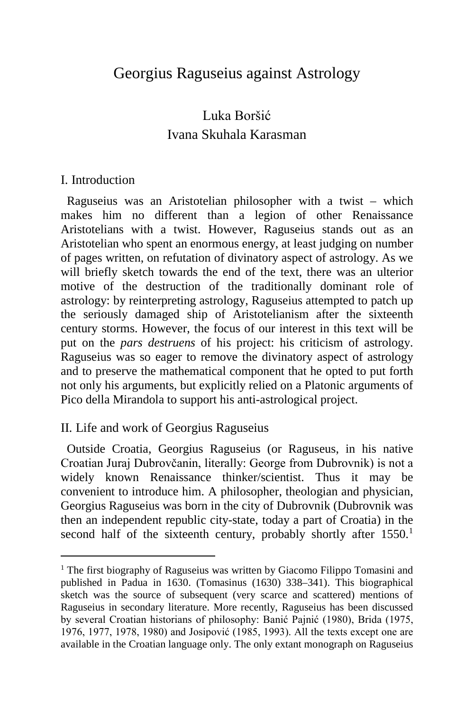## Georgius Raguseius against Astrology

## Luka Boršić Ivana Skuhala Karasman

#### I. Introduction

 Raguseius was an Aristotelian philosopher with a twist – which makes him no different than a legion of other Renaissance Aristotelians with a twist. However, Raguseius stands out as an Aristotelian who spent an enormous energy, at least judging on number of pages written, on refutation of divinatory aspect of astrology. As we will briefly sketch towards the end of the text, there was an ulterior motive of the destruction of the traditionally dominant role of astrology: by reinterpreting astrology, Raguseius attempted to patch up the seriously damaged ship of Aristotelianism after the sixteenth century storms. However, the focus of our interest in this text will be put on the *pars destruens* of his project: his criticism of astrology. Raguseius was so eager to remove the divinatory aspect of astrology and to preserve the mathematical component that he opted to put forth not only his arguments, but explicitly relied on a Platonic arguments of Pico della Mirandola to support his anti-astrological project.

#### II. Life and work of Georgius Raguseius

 Outside Croatia, Georgius Raguseius (or Raguseus, in his native Croatian Juraj Dubrovčanin, literally: George from Dubrovnik) is not a widely known Renaissance thinker/scientist. Thus it may be convenient to introduce him. A philosopher, theologian and physician, Georgius Raguseius was born in the city of Dubrovnik (Dubrovnik was then an independent republic city-state, today a part of Croatia) in the second half of the sixteenth century, probably shortly after  $1550<sup>1</sup>$  $1550<sup>1</sup>$ 

<span id="page-1-0"></span><sup>&</sup>lt;sup>1</sup> The first biography of Raguseius was written by Giacomo Filippo Tomasini and published in Padua in 1630. (Tomasinus (1630) 338–341). This biographical sketch was the source of subsequent (very scarce and scattered) mentions of Raguseius in secondary literature. More recently, Raguseius has been discussed by several Croatian historians of philosophy: Banić Pajnić (1980), Brida (1975, 1976, 1977, 1978, 1980) and Josipović (1985, 1993). All the texts except one are available in the Croatian language only. The only extant monograph on Raguseius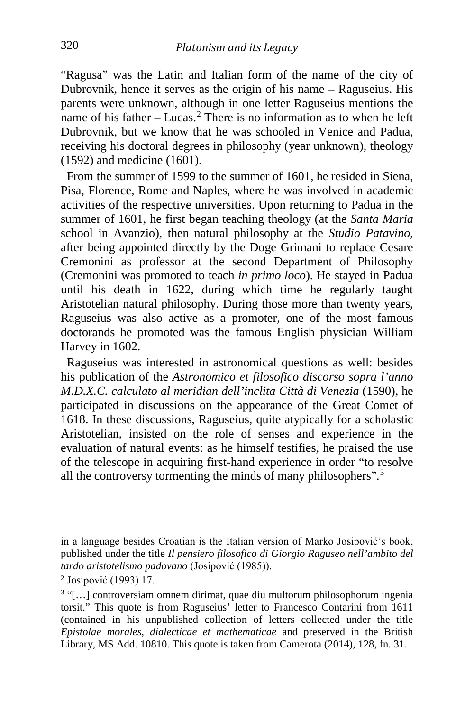"Ragusa" was the Latin and Italian form of the name of the city of Dubrovnik, hence it serves as the origin of his name – Raguseius. His parents were unknown, although in one letter Raguseius mentions the name of his father – Lucas.<sup>[2](#page-2-0)</sup> There is no information as to when he left Dubrovnik, but we know that he was schooled in Venice and Padua, receiving his doctoral degrees in philosophy (year unknown), theology (1592) and medicine (1601).

 From the summer of 1599 to the summer of 1601, he resided in Siena, Pisa, Florence, Rome and Naples, where he was involved in academic activities of the respective universities. Upon returning to Padua in the summer of 1601, he first began teaching theology (at the *Santa Maria* school in Avanzio), then natural philosophy at the *Studio Patavino*, after being appointed directly by the Doge Grimani to replace Cesare Cremonini as professor at the second Department of Philosophy (Cremonini was promoted to teach *in primo loco*). He stayed in Padua until his death in 1622, during which time he regularly taught Aristotelian natural philosophy. During those more than twenty years, Raguseius was also active as a promoter, one of the most famous doctorands he promoted was the famous English physician William Harvey in 1602.

 Raguseius was interested in astronomical questions as well: besides his publication of the *Astronomico et filosofico discorso sopra l'anno M.D.X.C. calculato al meridian dell'inclita Città di Venezia* (1590), he participated in discussions on the appearance of the Great Comet of 1618. In these discussions, Raguseius, quite atypically for a scholastic Aristotelian, insisted on the role of senses and experience in the evaluation of natural events: as he himself testifies, he praised the use of the telescope in acquiring first-hand experience in order "to resolve all the controversy tormenting the minds of many philosophers".<sup>[3](#page-2-1)</sup>

in a language besides Croatian is the Italian version of Marko Josipović's book, published under the title *Il pensiero filosofico di Giorgio Raguseo nell'ambito del tardo aristotelismo padovano* (Josipović (1985)).

<span id="page-2-0"></span><sup>2</sup> Josipović (1993) 17.

<span id="page-2-1"></span><sup>&</sup>lt;sup>3</sup> "[...] controversiam omnem dirimat, quae diu multorum philosophorum ingenia torsit." This quote is from Raguseius' letter to Francesco Contarini from 1611 (contained in his unpublished collection of letters collected under the title *Epistolae morales, dialecticae et mathematicae* and preserved in the British Library, MS Add. 10810. This quote is taken from Camerota (2014), 128, fn. 31.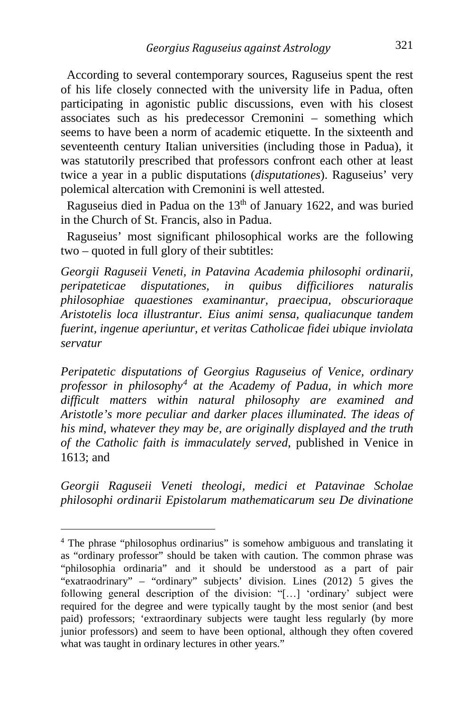According to several contemporary sources, Raguseius spent the rest of his life closely connected with the university life in Padua, often participating in agonistic public discussions, even with his closest associates such as his predecessor Cremonini – something which seems to have been a norm of academic etiquette. In the sixteenth and seventeenth century Italian universities (including those in Padua), it was statutorily prescribed that professors confront each other at least twice a year in a public disputations (*disputationes*). Raguseius' very polemical altercation with Cremonini is well attested.

Raguseius died in Padua on the 13<sup>th</sup> of January 1622, and was buried in the Church of St. Francis, also in Padua.

 Raguseius' most significant philosophical works are the following two – quoted in full glory of their subtitles:

*Georgii Raguseii Veneti, in Patavina Academia philosophi ordinarii, peripateticae disputationes, in quibus difficiliores naturalis philosophiae quaestiones examinantur, praecipua, obscurioraque Aristotelis loca illustrantur. Eius animi sensa, qualiacunque tandem fuerint, ingenue aperiuntur, et veritas Catholicae fidei ubique inviolata servatur*

*Peripatetic disputations of Georgius Raguseius of Venice, ordinary professor in philosophy[4](#page-3-0) at the Academy of Padua, in which more difficult matters within natural philosophy are examined and Aristotle's more peculiar and darker places illuminated. The ideas of his mind, whatever they may be, are originally displayed and the truth of the Catholic faith is immaculately served*, published in Venice in 1613; and

*Georgii Raguseii Veneti theologi, medici et Patavinae Scholae philosophi ordinarii Epistolarum mathematicarum seu De divinatione* 

<span id="page-3-0"></span><sup>&</sup>lt;sup>4</sup> The phrase "philosophus ordinarius" is somehow ambiguous and translating it as "ordinary professor" should be taken with caution. The common phrase was "philosophia ordinaria" and it should be understood as a part of pair "exatraodrinary" – "ordinary" subjects' division. Lines (2012) 5 gives the following general description of the division: "[…] 'ordinary' subject were required for the degree and were typically taught by the most senior (and best paid) professors; 'extraordinary subjects were taught less regularly (by more junior professors) and seem to have been optional, although they often covered what was taught in ordinary lectures in other years."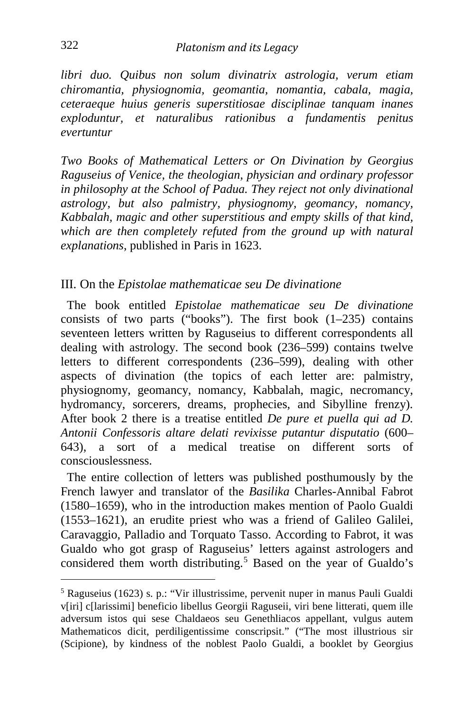*libri duo. Quibus non solum divinatrix astrologia, verum etiam chiromantia, physiognomia, geomantia, nomantia, cabala, magia, ceteraeque huius generis superstitiosae disciplinae tanquam inanes exploduntur, et naturalibus rationibus a fundamentis penitus evertuntur*

*Two Books of Mathematical Letters or On Divination by Georgius Raguseius of Venice, the theologian, physician and ordinary professor in philosophy at the School of Padua. They reject not only divinational astrology, but also palmistry, physiognomy, geomancy, nomancy, Kabbalah, magic and other superstitious and empty skills of that kind, which are then completely refuted from the ground up with natural explanations*, published in Paris in 1623.

#### III. On the *Epistolae mathematicae seu De divinatione*

 The book entitled *Epistolae mathematicae seu De divinatione* consists of two parts ("books"). The first book  $(1-235)$  contains seventeen letters written by Raguseius to different correspondents all dealing with astrology. The second book (236–599) contains twelve letters to different correspondents (236–599), dealing with other aspects of divination (the topics of each letter are: palmistry, physiognomy, geomancy, nomancy, Kabbalah, magic, necromancy, hydromancy, sorcerers, dreams, prophecies, and Sibylline frenzy). After book 2 there is a treatise entitled *De pure et puella qui ad D. Antonii Confessoris altare delati revixisse putantur disputatio* (600– 643), a sort of a medical treatise on different sorts of consciouslessness.

 The entire collection of letters was published posthumously by the French lawyer and translator of the *Basilika* Charles-Annibal Fabrot (1580–1659), who in the introduction makes mention of Paolo Gualdi (1553–1621), an erudite priest who was a friend of Galileo Galilei, Caravaggio, Palladio and Torquato Tasso. According to Fabrot, it was Gualdo who got grasp of Raguseius' letters against astrologers and considered them worth distributing.<sup>[5](#page-4-0)</sup> Based on the year of Gualdo's

<span id="page-4-0"></span><sup>5</sup> Raguseius (1623) s. p.: "Vir illustrissime, pervenit nuper in manus Pauli Gualdi v[iri] c[larissimi] beneficio libellus Georgii Raguseii, viri bene litterati, quem ille adversum istos qui sese Chaldaeos seu Genethliacos appellant, vulgus autem Mathematicos dicit, perdiligentissime conscripsit." ("The most illustrious sir (Scipione), by kindness of the noblest Paolo Gualdi, a booklet by Georgius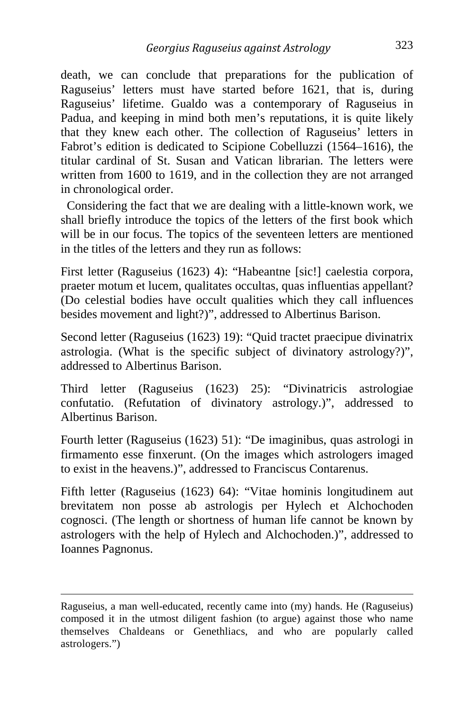death, we can conclude that preparations for the publication of Raguseius' letters must have started before 1621, that is, during Raguseius' lifetime. Gualdo was a contemporary of Raguseius in Padua, and keeping in mind both men's reputations, it is quite likely that they knew each other. The collection of Raguseius' letters in Fabrot's edition is dedicated to Scipione Cobelluzzi (1564–1616), the titular cardinal of St. Susan and Vatican librarian. The letters were written from 1600 to 1619, and in the collection they are not arranged in chronological order.

 Considering the fact that we are dealing with a little-known work, we shall briefly introduce the topics of the letters of the first book which will be in our focus. The topics of the seventeen letters are mentioned in the titles of the letters and they run as follows:

First letter (Raguseius (1623) 4): "Habeantne [sic!] caelestia corpora, praeter motum et lucem, qualitates occultas, quas influentias appellant? (Do celestial bodies have occult qualities which they call influences besides movement and light?)", addressed to Albertinus Barison.

Second letter (Raguseius (1623) 19): "Quid tractet praecipue divinatrix astrologia. (What is the specific subject of divinatory astrology?)", addressed to Albertinus Barison.

Third letter (Raguseius (1623) 25): "Divinatricis astrologiae confutatio. (Refutation of divinatory astrology.)", addressed to Albertinus Barison.

Fourth letter (Raguseius (1623) 51): "De imaginibus, quas astrologi in firmamento esse finxerunt. (On the images which astrologers imaged to exist in the heavens.)", addressed to Franciscus Contarenus.

Fifth letter (Raguseius (1623) 64): "Vitae hominis longitudinem aut brevitatem non posse ab astrologis per Hylech et Alchochoden cognosci. (The length or shortness of human life cannot be known by astrologers with the help of Hylech and Alchochoden.)", addressed to Ioannes Pagnonus.

Raguseius, a man well-educated, recently came into (my) hands. He (Raguseius) composed it in the utmost diligent fashion (to argue) against those who name themselves Chaldeans or Genethliacs, and who are popularly called astrologers.")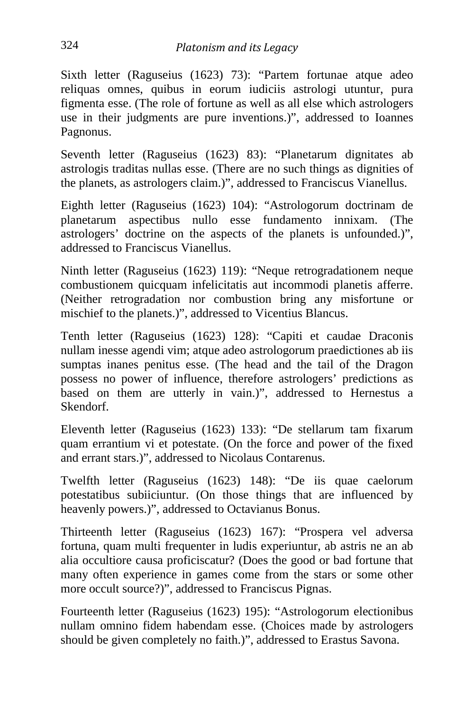Sixth letter (Raguseius (1623) 73): "Partem fortunae atque adeo reliquas omnes, quibus in eorum iudiciis astrologi utuntur, pura figmenta esse. (The role of fortune as well as all else which astrologers use in their judgments are pure inventions.)", addressed to Ioannes Pagnonus.

Seventh letter (Raguseius (1623) 83): "Planetarum dignitates ab astrologis traditas nullas esse. (There are no such things as dignities of the planets, as astrologers claim.)", addressed to Franciscus Vianellus.

Eighth letter (Raguseius (1623) 104): "Astrologorum doctrinam de planetarum aspectibus nullo esse fundamento innixam. (The astrologers' doctrine on the aspects of the planets is unfounded.)", addressed to Franciscus Vianellus.

Ninth letter (Raguseius (1623) 119): "Neque retrogradationem neque combustionem quicquam infelicitatis aut incommodi planetis afferre. (Neither retrogradation nor combustion bring any misfortune or mischief to the planets.)", addressed to Vicentius Blancus.

Tenth letter (Raguseius (1623) 128): "Capiti et caudae Draconis nullam inesse agendi vim; atque adeo astrologorum praedictiones ab iis sumptas inanes penitus esse. (The head and the tail of the Dragon possess no power of influence, therefore astrologers' predictions as based on them are utterly in vain.)", addressed to Hernestus a Skendorf.

Eleventh letter (Raguseius (1623) 133): "De stellarum tam fixarum quam errantium vi et potestate. (On the force and power of the fixed and errant stars.)", addressed to Nicolaus Contarenus.

Twelfth letter (Raguseius (1623) 148): "De iis quae caelorum potestatibus subiiciuntur. (On those things that are influenced by heavenly powers.)", addressed to Octavianus Bonus.

Thirteenth letter (Raguseius (1623) 167): "Prospera vel adversa fortuna, quam multi frequenter in ludis experiuntur, ab astris ne an ab alia occultiore causa proficiscatur? (Does the good or bad fortune that many often experience in games come from the stars or some other more occult source?)", addressed to Franciscus Pignas.

Fourteenth letter (Raguseius (1623) 195): "Astrologorum electionibus nullam omnino fidem habendam esse. (Choices made by astrologers should be given completely no faith.)", addressed to Erastus Savona.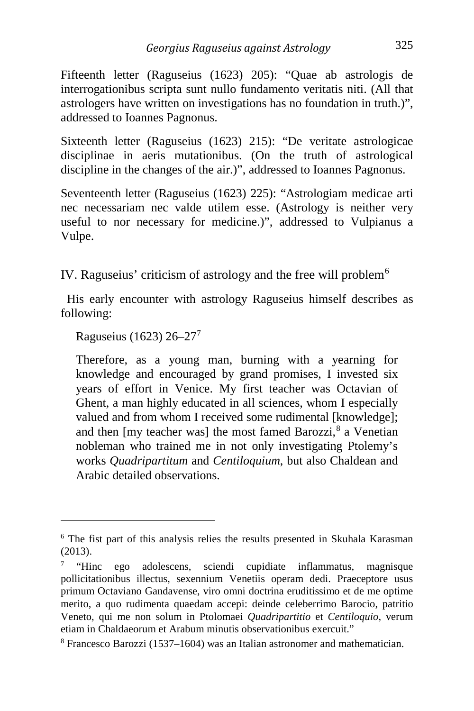Fifteenth letter (Raguseius (1623) 205): "Quae ab astrologis de interrogationibus scripta sunt nullo fundamento veritatis niti. (All that astrologers have written on investigations has no foundation in truth.)", addressed to Ioannes Pagnonus.

Sixteenth letter (Raguseius (1623) 215): "De veritate astrologicae disciplinae in aeris mutationibus. (On the truth of astrological discipline in the changes of the air.)", addressed to Ioannes Pagnonus.

Seventeenth letter (Raguseius (1623) 225): "Astrologiam medicae arti nec necessariam nec valde utilem esse. (Astrology is neither very useful to nor necessary for medicine.)", addressed to Vulpianus a Vulpe.

IV. Raguseius' criticism of astrology and the free will problem<sup>[6](#page-7-0)</sup>

 His early encounter with astrology Raguseius himself describes as following:

Raguseius (1623) 26–27[7](#page-7-1)

-

Therefore, as a young man, burning with a yearning for knowledge and encouraged by grand promises, I invested six years of effort in Venice. My first teacher was Octavian of Ghent, a man highly educated in all sciences, whom I especially valued and from whom I received some rudimental [knowledge]; and then  $[my \text{ teacher was}]$  the most famed Barozzi, $8$  a Venetian nobleman who trained me in not only investigating Ptolemy's works *Quadripartitum* and *Centiloquium*, but also Chaldean and Arabic detailed observations.

<span id="page-7-0"></span><sup>6</sup> The fist part of this analysis relies the results presented in Skuhala Karasman (2013).

<span id="page-7-1"></span><sup>&</sup>lt;sup>7</sup> "Hinc ego adolescens, sciendi cupidiate inflammatus, magnisque pollicitationibus illectus, sexennium Venetiis operam dedi. Praeceptore usus primum Octaviano Gandavense, viro omni doctrina eruditissimo et de me optime merito, a quo rudimenta quaedam accepi: deinde celeberrimo Barocio, patritio Veneto, qui me non solum in Ptolomaei *Quadripartitio* et *Centiloquio*, verum etiam in Chaldaeorum et Arabum minutis observationibus exercuit."

<span id="page-7-2"></span><sup>8</sup> Francesco Barozzi (1537–1604) was an Italian astronomer and mathematician.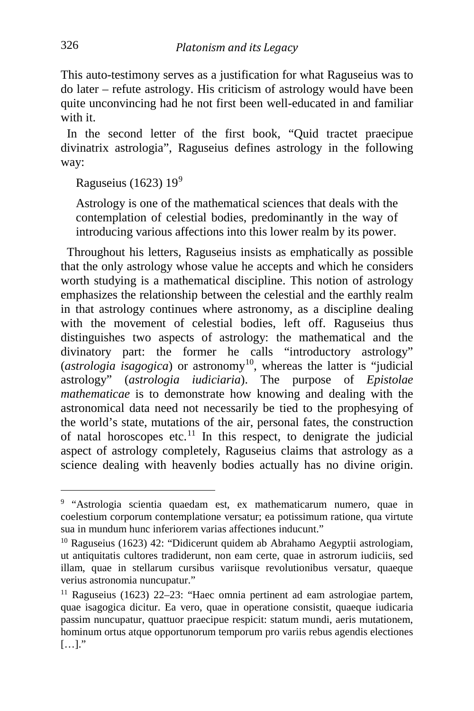This auto-testimony serves as a justification for what Raguseius was to do later – refute astrology. His criticism of astrology would have been quite unconvincing had he not first been well-educated in and familiar with it.

 In the second letter of the first book, "Quid tractet praecipue divinatrix astrologia", Raguseius defines astrology in the following way:

Raguseius (1623) 19[9](#page-8-0)

Astrology is one of the mathematical sciences that deals with the contemplation of celestial bodies, predominantly in the way of introducing various affections into this lower realm by its power.

 Throughout his letters, Raguseius insists as emphatically as possible that the only astrology whose value he accepts and which he considers worth studying is a mathematical discipline. This notion of astrology emphasizes the relationship between the celestial and the earthly realm in that astrology continues where astronomy, as a discipline dealing with the movement of celestial bodies, left off. Raguseius thus distinguishes two aspects of astrology: the mathematical and the divinatory part: the former he calls "introductory astrology" (*astrologia isagogica*) or astronomy[10,](#page-8-1) whereas the latter is "judicial astrology" (*astrologia iudiciaria*). The purpose of *Epistolae mathematicae* is to demonstrate how knowing and dealing with the astronomical data need not necessarily be tied to the prophesying of the world's state, mutations of the air, personal fates, the construction of natal horoscopes etc.<sup>[11](#page-8-2)</sup> In this respect, to denigrate the judicial aspect of astrology completely, Raguseius claims that astrology as a science dealing with heavenly bodies actually has no divine origin.

<span id="page-8-0"></span><sup>9</sup> "Astrologia scientia quaedam est, ex mathematicarum numero, quae in coelestium corporum contemplatione versatur; ea potissimum ratione, qua virtute sua in mundum hunc inferiorem varias affectiones inducunt."

<span id="page-8-1"></span><sup>10</sup> Raguseius (1623) 42: "Didicerunt quidem ab Abrahamo Aegyptii astrologiam, ut antiquitatis cultores tradiderunt, non eam certe, quae in astrorum iudiciis, sed illam, quae in stellarum cursibus variisque revolutionibus versatur, quaeque verius astronomia nuncupatur."

<span id="page-8-2"></span><sup>&</sup>lt;sup>11</sup> Raguseius (1623) 22-23: "Haec omnia pertinent ad eam astrologiae partem, quae isagogica dicitur. Ea vero, quae in operatione consistit, quaeque iudicaria passim nuncupatur, quattuor praecipue respicit: statum mundi, aeris mutationem, hominum ortus atque opportunorum temporum pro variis rebus agendis electiones […]."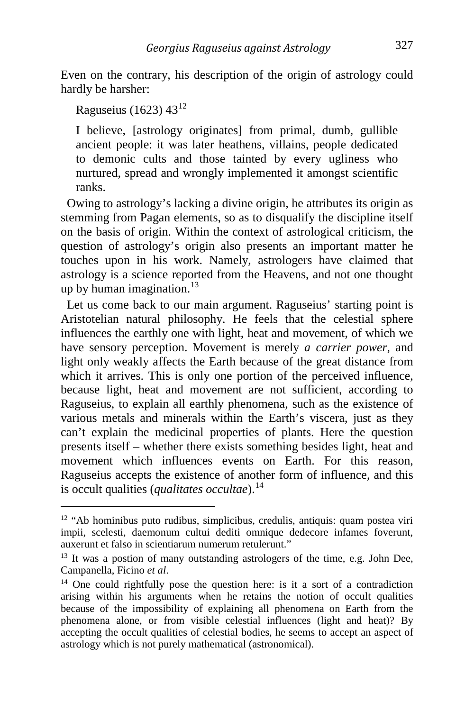Even on the contrary, his description of the origin of astrology could hardly be harsher:

Raguseius (1623) 43[12](#page-9-0)

I believe, [astrology originates] from primal, dumb, gullible ancient people: it was later heathens, villains, people dedicated to demonic cults and those tainted by every ugliness who nurtured, spread and wrongly implemented it amongst scientific ranks.

 Owing to astrology's lacking a divine origin, he attributes its origin as stemming from Pagan elements, so as to disqualify the discipline itself on the basis of origin. Within the context of astrological criticism, the question of astrology's origin also presents an important matter he touches upon in his work. Namely, astrologers have claimed that astrology is a science reported from the Heavens, and not one thought up by human imagination. $13$ 

Let us come back to our main argument. Raguseius' starting point is Aristotelian natural philosophy. He feels that the celestial sphere influences the earthly one with light, heat and movement, of which we have sensory perception. Movement is merely *a carrier power*, and light only weakly affects the Earth because of the great distance from which it arrives. This is only one portion of the perceived influence, because light, heat and movement are not sufficient, according to Raguseius, to explain all earthly phenomena, such as the existence of various metals and minerals within the Earth's viscera, just as they can't explain the medicinal properties of plants. Here the question presents itself – whether there exists something besides light, heat and movement which influences events on Earth. For this reason, Raguseius accepts the existence of another form of influence, and this is occult qualities (*qualitates occultae*).<sup>[14](#page-9-2)</sup>

<span id="page-9-0"></span><sup>&</sup>lt;sup>12</sup> "Ab hominibus puto rudibus, simplicibus, credulis, antiquis: quam postea viri impii, scelesti, daemonum cultui dediti omnique dedecore infames foverunt, auxerunt et falso in scientiarum numerum retulerunt."

<span id="page-9-1"></span><sup>&</sup>lt;sup>13</sup> It was a postion of many outstanding astrologers of the time, e.g. John Dee, Campanella, Ficino *et al*.

<span id="page-9-2"></span><sup>&</sup>lt;sup>14</sup> One could rightfully pose the question here: is it a sort of a contradiction arising within his arguments when he retains the notion of occult qualities because of the impossibility of explaining all phenomena on Earth from the phenomena alone, or from visible celestial influences (light and heat)? By accepting the occult qualities of celestial bodies, he seems to accept an aspect of astrology which is not purely mathematical (astronomical).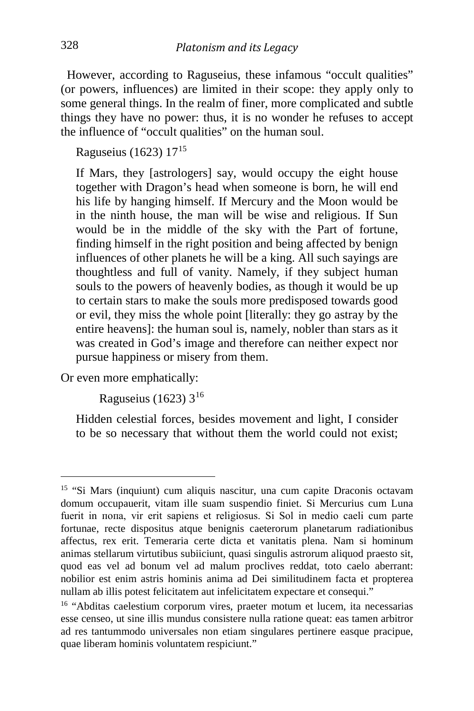However, according to Raguseius, these infamous "occult qualities" (or powers, influences) are limited in their scope: they apply only to some general things. In the realm of finer, more complicated and subtle things they have no power: thus, it is no wonder he refuses to accept the influence of "occult qualities" on the human soul.

Raguseius (1623) 17[15](#page-10-0)

If Mars, they [astrologers] say, would occupy the eight house together with Dragon's head when someone is born, he will end his life by hanging himself. If Mercury and the Moon would be in the ninth house, the man will be wise and religious. If Sun would be in the middle of the sky with the Part of fortune, finding himself in the right position and being affected by benign influences of other planets he will be a king. All such sayings are thoughtless and full of vanity. Namely, if they subject human souls to the powers of heavenly bodies, as though it would be up to certain stars to make the souls more predisposed towards good or evil, they miss the whole point [literally: they go astray by the entire heavens]: the human soul is, namely, nobler than stars as it was created in God's image and therefore can neither expect nor pursue happiness or misery from them.

Or even more emphatically:

Raguseius (1623) 3[16](#page-10-1)

Hidden celestial forces, besides movement and light, I consider to be so necessary that without them the world could not exist;

<span id="page-10-0"></span><sup>15</sup> "Si Mars (inquiunt) cum aliquis nascitur, una cum capite Draconis octavam domum occupauerit, vitam ille suam suspendio finiet. Si Mercurius cum Luna fuerit in попа, vir erit sapiens et religiosus. Si Sol in medio caeli cum parte fortunae, recte dispositus atque benignis caeterorum planetarum radiationibus affectus, rex erit. Temeraria certe dicta et vanitatis plena. Nam si hominum animas stellarum virtutibus subiiciunt, quasi singulis astrorum aliquod praesto sit, quod eas vel ad bonum vel ad malum proclives reddat, toto caelo aberrant: nobilior est enim astris hominis anima ad Dei similitudinem facta et propterea nullam ab illis potest felicitatem aut infelicitatem expectare et consequi."

<span id="page-10-1"></span><sup>16</sup> "Abditas caelestium corporum vires, praeter motum et lucem, ita necessarias esse censeo, ut sine illis mundus consistere nulla ratione queat: eas tamen arbitror ad res tantummodo universales non etiam singulares pertinere easque pracipue, quae liberam hominis voluntatem respiciunt."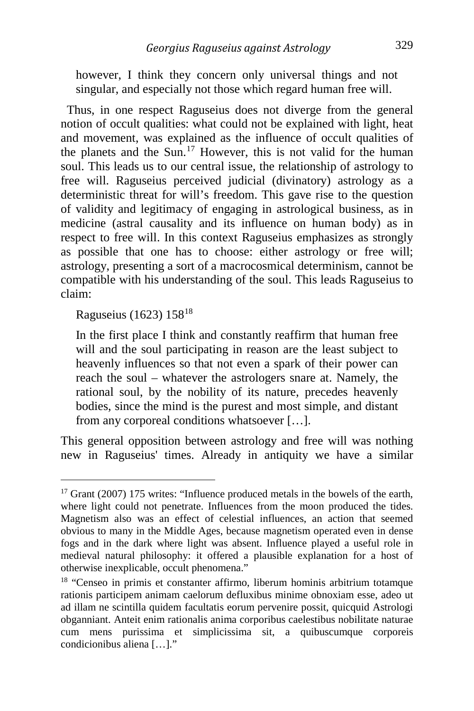however, I think they concern only universal things and not singular, and especially not those which regard human free will.

 Thus, in one respect Raguseius does not diverge from the general notion of occult qualities: what could not be explained with light, heat and movement, was explained as the influence of occult qualities of the planets and the Sun.<sup>[17](#page-11-0)</sup> However, this is not valid for the human soul. This leads us to our central issue, the relationship of astrology to free will. Raguseius perceived judicial (divinatory) astrology as a deterministic threat for will's freedom. This gave rise to the question of validity and legitimacy of engaging in astrological business, as in medicine (astral causality and its influence on human body) as in respect to free will. In this context Raguseius emphasizes as strongly as possible that one has to choose: either astrology or free will; astrology, presenting a sort of a macrocosmical determinism, cannot be compatible with his understanding of the soul. This leads Raguseius to claim:

Raguseius (1623) 158[18](#page-11-1)

In the first place I think and constantly reaffirm that human free will and the soul participating in reason are the least subject to heavenly influences so that not even a spark of their power can reach the soul – whatever the astrologers snare at. Namely, the rational soul, by the nobility of its nature, precedes heavenly bodies, since the mind is the purest and most simple, and distant from any corporeal conditions whatsoever […].

This general opposition between astrology and free will was nothing new in Raguseius' times. Already in antiquity we have a similar

<span id="page-11-0"></span><sup>&</sup>lt;sup>17</sup> Grant (2007) 175 writes: "Influence produced metals in the bowels of the earth, where light could not penetrate. Influences from the moon produced the tides. Magnetism also was an effect of celestial influences, an action that seemed obvious to many in the Middle Ages, because magnetism operated even in dense fogs and in the dark where light was absent. Influence played a useful role in medieval natural philosophy: it offered a plausible explanation for a host of otherwise inexplicable, occult phenomena."

<span id="page-11-1"></span><sup>18</sup> "Censeo in primis et constanter affirmo, liberum hominis arbitrium totamque rationis participem animam caelorum defluxibus minime obnoxiam esse, adeo ut ad illam ne scintilla quidem facultatis eorum pervenire possit, quicquid Astrologi obganniant. Anteit enim rationalis anima corporibus caelestibus nobilitate naturae cum mens purissima et simplicissima sit, a quibuscumque corporeis condicionibus aliena […]."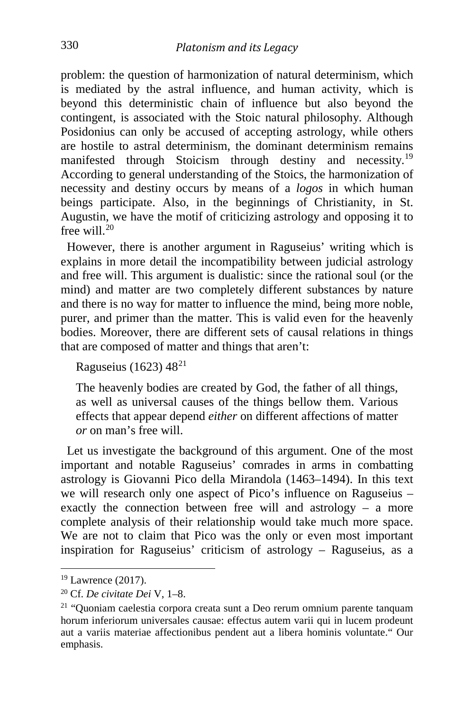problem: the question of harmonization of natural determinism, which is mediated by the astral influence, and human activity, which is beyond this deterministic chain of influence but also beyond the contingent, is associated with the Stoic natural philosophy. Although Posidonius can only be accused of accepting astrology, while others are hostile to astral determinism, the dominant determinism remains manifested through Stoicism through destiny and necessity.<sup>[19](#page-12-0)</sup> According to general understanding of the Stoics, the harmonization of necessity and destiny occurs by means of a *logos* in which human beings participate. Also, in the beginnings of Christianity, in St. Augustin, we have the motif of criticizing astrology and opposing it to free will $20$ 

 However, there is another argument in Raguseius' writing which is explains in more detail the incompatibility between judicial astrology and free will. This argument is dualistic: since the rational soul (or the mind) and matter are two completely different substances by nature and there is no way for matter to influence the mind, being more noble, purer, and primer than the matter. This is valid even for the heavenly bodies. Moreover, there are different sets of causal relations in things that are composed of matter and things that aren't:

Raguseius (1623) 48[21](#page-12-2)

The heavenly bodies are created by God, the father of all things, as well as universal causes of the things bellow them. Various effects that appear depend *either* on different affections of matter *or* on man's free will.

 Let us investigate the background of this argument. One of the most important and notable Raguseius' comrades in arms in combatting astrology is Giovanni Pico della Mirandola (1463–1494). In this text we will research only one aspect of Pico's influence on Raguseius – exactly the connection between free will and astrology – a more complete analysis of their relationship would take much more space. We are not to claim that Pico was the only or even most important inspiration for Raguseius' criticism of astrology – Raguseius, as a

<span id="page-12-0"></span><sup>19</sup> Lawrence (2017).

<span id="page-12-1"></span><sup>20</sup> Cf. *De civitate Dei* V, 1–8.

<span id="page-12-2"></span><sup>21</sup> "Quoniam caelestia corpora creata sunt a Deo rerum omnium parente tanquam horum inferiorum universales causae: effectus autem varii qui in lucem prodeunt aut a variis materiae affectionibus pendent aut a libera hominis voluntate." Our emphasis.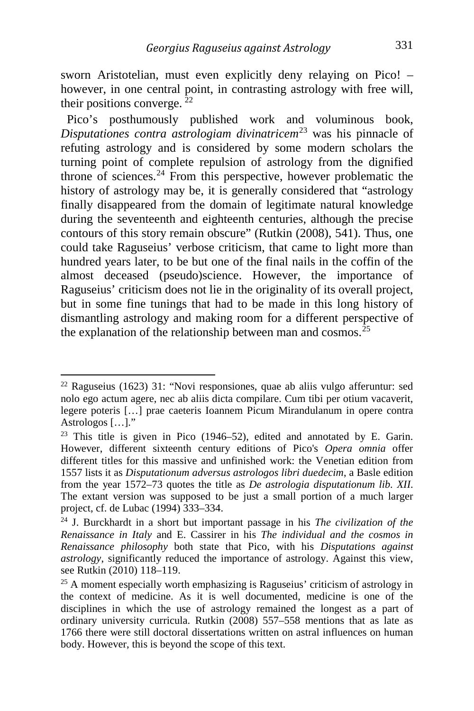sworn Aristotelian, must even explicitly deny relaying on Pico! – however, in one central point, in contrasting astrology with free will, their positions converge.  $22$ 

 Pico's posthumously published work and voluminous book, *Disputationes contra astrologiam divinatricem*[23](#page-13-1) was his pinnacle of refuting astrology and is considered by some modern scholars the turning point of complete repulsion of astrology from the dignified throne of sciences. $24$  From this perspective, however problematic the history of astrology may be, it is generally considered that "astrology finally disappeared from the domain of legitimate natural knowledge during the seventeenth and eighteenth centuries, although the precise contours of this story remain obscure" (Rutkin (2008), 541). Thus, one could take Raguseius' verbose criticism, that came to light more than hundred years later, to be but one of the final nails in the coffin of the almost deceased (pseudo)science. However, the importance of Raguseius' criticism does not lie in the originality of its overall project, but in some fine tunings that had to be made in this long history of dismantling astrology and making room for a different perspective of the explanation of the relationship between man and cosmos.<sup>[25](#page-13-3)</sup>

<span id="page-13-0"></span> $22$  Raguseius (1623) 31: "Novi responsiones, quae ab aliis vulgo afferuntur: sed nolo ego actum agere, nec ab aliis dicta compilare. Cum tibi per otium vacaverit, legere poteris […] prae caeteris Ioannem Picum Mirandulanum in opere contra Astrologos […]."

<span id="page-13-1"></span> $23$  This title is given in Pico (1946–52), edited and annotated by E. Garin. However, different sixteenth century editions of Pico's *Opera omnia* offer different titles for this massive and unfinished work: the Venetian edition from 1557 lists it as *Disputationum adversus astrologos libri duedecim*, a Basle edition from the year 1572–73 quotes the title as *De astrologia disputationum lib. XII*. The extant version was supposed to be just a small portion of a much larger project, cf. de Lubac (1994) 333–334.

<span id="page-13-2"></span><sup>24</sup> J. Burckhardt in a short but important passage in his *The civilization of the Renaissance in Italy* and E. Cassirer in his *The individual and the cosmos in Renaissance philosophy* both state that Pico, with his *Disputations against astrology*, significantly reduced the importance of astrology. Against this view, see Rutkin (2010) 118–119.

<span id="page-13-3"></span><sup>&</sup>lt;sup>25</sup> A moment especially worth emphasizing is Raguseius' criticism of astrology in the context of medicine. As it is well documented, medicine is one of the disciplines in which the use of astrology remained the longest as a part of ordinary university curricula. Rutkin (2008) 557–558 mentions that as late as 1766 there were still doctoral dissertations written on astral influences on human body. However, this is beyond the scope of this text.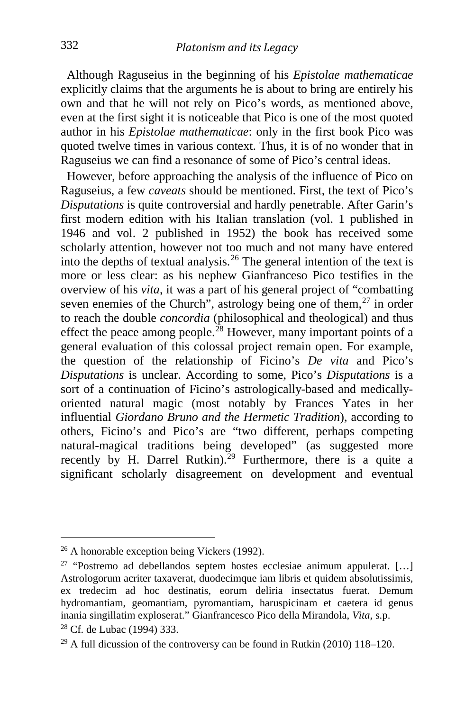Although Raguseius in the beginning of his *Epistolae mathematicae* explicitly claims that the arguments he is about to bring are entirely his own and that he will not rely on Pico's words, as mentioned above, even at the first sight it is noticeable that Pico is one of the most quoted author in his *Epistolae mathematicae*: only in the first book Pico was quoted twelve times in various context. Thus, it is of no wonder that in Raguseius we can find a resonance of some of Pico's central ideas.

 However, before approaching the analysis of the influence of Pico on Raguseius, a few *caveats* should be mentioned. First, the text of Pico's *Disputations* is quite controversial and hardly penetrable. After Garin's first modern edition with his Italian translation (vol. 1 published in 1946 and vol. 2 published in 1952) the book has received some scholarly attention, however not too much and not many have entered into the depths of textual analysis.<sup>[26](#page-14-0)</sup> The general intention of the text is more or less clear: as his nephew Gianfranceso Pico testifies in the overview of his *vita*, it was a part of his general project of "combatting seven enemies of the Church", astrology being one of them,  $27$  in order to reach the double *concordia* (philosophical and theological) and thus effect the peace among people.<sup>[28](#page-14-2)</sup> However, many important points of a general evaluation of this colossal project remain open. For example, the question of the relationship of Ficino's *De vita* and Pico's *Disputations* is unclear. According to some, Pico's *Disputations* is a sort of a continuation of Ficino's astrologically-based and medicallyoriented natural magic (most notably by Frances Yates in her influential *Giordano Bruno and the Hermetic Tradition*), according to others, Ficino's and Pico's are "two different, perhaps competing natural-magical traditions being developed" (as suggested more recently by H. Darrel Rutkin).<sup>[29](#page-14-3)</sup> Furthermore, there is a quite a significant scholarly disagreement on development and eventual

i,

<sup>&</sup>lt;sup>26</sup> A honorable exception being Vickers (1992).

<span id="page-14-1"></span><span id="page-14-0"></span> $27$  "Postremo ad debellandos septem hostes ecclesiae animum appulerat. [...] Astrologorum acriter taxaverat, duodecimque iam libris et quidem absolutissimis, ex tredecim ad hoc destinatis, eorum deliria insectatus fuerat. Demum hydromantiam, geomantiam, pyromantiam, haruspicinam et caetera id genus inania singillatim exploserat." Gianfrancesco Pico della Mirandola, *Vita*, s.p. <sup>28</sup> Cf. de Lubac (1994) 333.

<span id="page-14-3"></span><span id="page-14-2"></span> $29$  A full dicussion of the controversy can be found in Rutkin (2010) 118–120.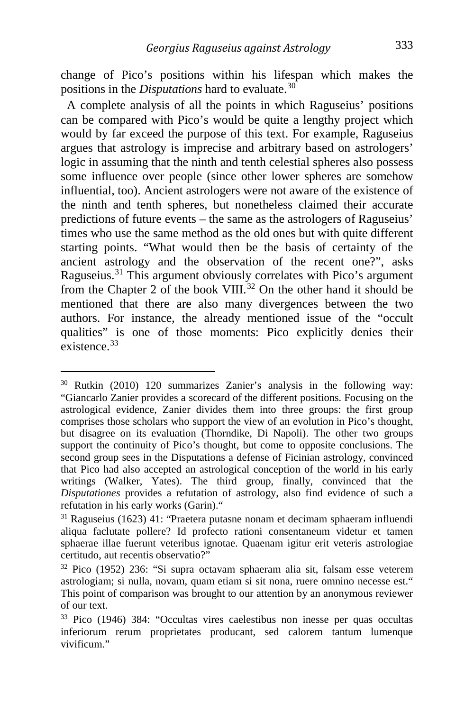change of Pico's positions within his lifespan which makes the positions in the *Disputations* hard to evaluate.[30](#page-15-0)

 A complete analysis of all the points in which Raguseius' positions can be compared with Pico's would be quite a lengthy project which would by far exceed the purpose of this text. For example, Raguseius argues that astrology is imprecise and arbitrary based on astrologers' logic in assuming that the ninth and tenth celestial spheres also possess some influence over people (since other lower spheres are somehow influential, too). Ancient astrologers were not aware of the existence of the ninth and tenth spheres, but nonetheless claimed their accurate predictions of future events – the same as the astrologers of Raguseius' times who use the same method as the old ones but with quite different starting points. "What would then be the basis of certainty of the ancient astrology and the observation of the recent one?", asks Raguseius.[31](#page-15-1) This argument obviously correlates with Pico's argument from the Chapter 2 of the book VIII.<sup>[32](#page-15-2)</sup> On the other hand it should be mentioned that there are also many divergences between the two authors. For instance, the already mentioned issue of the "occult qualities" is one of those moments: Pico explicitly denies their  $\overline{e}$ xistence.<sup>[33](#page-15-3)</sup>

<span id="page-15-0"></span><sup>30</sup> Rutkin (2010) 120 summarizes Zanier's analysis in the following way: "Giancarlo Zanier provides a scorecard of the different positions. Focusing on the astrological evidence, Zanier divides them into three groups: the first group comprises those scholars who support the view of an evolution in Pico's thought, but disagree on its evaluation (Thorndike, Di Napoli). The other two groups support the continuity of Pico's thought, but come to opposite conclusions. The second group sees in the Disputations a defense of Ficinian astrology, convinced that Pico had also accepted an astrological conception of the world in his early writings (Walker, Yates). The third group, finally, convinced that the *Disputationes* provides a refutation of astrology, also find evidence of such a refutation in his early works (Garin)."

<span id="page-15-1"></span><sup>31</sup> Raguseius (1623) 41: "Praetera putasne nonam et decimam sphaeram influendi aliqua faclutate pollere? Id profecto rationi consentaneum videtur et tamen sphaerae illae fuerunt veteribus ignotae. Quaenam igitur erit veteris astrologiae certitudo, aut recentis observatio?"

<span id="page-15-2"></span><sup>32</sup> Pico (1952) 236: "Si supra octavam sphaeram alia sit, falsam esse veterem astrologiam; si nulla, novam, quam etiam si sit nona, ruere omnino necesse est." This point of comparison was brought to our attention by an anonymous reviewer of our text.

<span id="page-15-3"></span><sup>33</sup> Pico (1946) 384: "Occultas vires caelestibus non inesse per quas occultas inferiorum rerum proprietates producant, sed calorem tantum lumenque vivificum."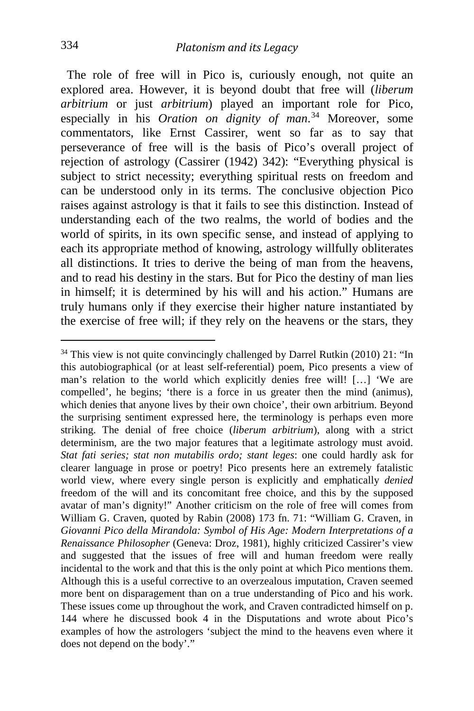The role of free will in Pico is, curiously enough, not quite an explored area. However, it is beyond doubt that free will (*liberum arbitrium* or just *arbitrium*) played an important role for Pico, especially in his *Oration on dignity of man*. [34](#page-16-0) Moreover, some commentators, like Ernst Cassirer, went so far as to say that perseverance of free will is the basis of Pico's overall project of rejection of astrology (Cassirer (1942) 342): "Everything physical is subject to strict necessity; everything spiritual rests on freedom and can be understood only in its terms. The conclusive objection Pico raises against astrology is that it fails to see this distinction. Instead of understanding each of the two realms, the world of bodies and the world of spirits, in its own specific sense, and instead of applying to each its appropriate method of knowing, astrology willfully obliterates all distinctions. It tries to derive the being of man from the heavens, and to read his destiny in the stars. But for Pico the destiny of man lies in himself; it is determined by his will and his action." Humans are truly humans only if they exercise their higher nature instantiated by the exercise of free will; if they rely on the heavens or the stars, they

<span id="page-16-0"></span> $34$  This view is not quite convincingly challenged by Darrel Rutkin (2010) 21: "In this autobiographical (or at least self-referential) poem, Pico presents a view of man's relation to the world which explicitly denies free will! […] 'We are compelled', he begins; 'there is a force in us greater then the mind (animus), which denies that anyone lives by their own choice', their own arbitrium. Beyond the surprising sentiment expressed here, the terminology is perhaps even more striking. The denial of free choice (*liberum arbitrium*), along with a strict determinism, are the two major features that a legitimate astrology must avoid. *Stat fati series; stat non mutabilis ordo; stant leges*: one could hardly ask for clearer language in prose or poetry! Pico presents here an extremely fatalistic world view, where every single person is explicitly and emphatically *denied* freedom of the will and its concomitant free choice, and this by the supposed avatar of man's dignity!" Another criticism on the role of free will comes from William G. Craven, quoted by Rabin (2008) 173 fn. 71: "William G. Craven, in *Giovanni Pico della Mirandola: Symbol of His Age: Modern Interpretations of a Renaissance Philosopher* (Geneva: Droz, 1981), highly criticized Cassirer's view and suggested that the issues of free will and human freedom were really incidental to the work and that this is the only point at which Pico mentions them. Although this is a useful corrective to an overzealous imputation, Craven seemed more bent on disparagement than on a true understanding of Pico and his work. These issues come up throughout the work, and Craven contradicted himself on p. 144 where he discussed book 4 in the Disputations and wrote about Pico's examples of how the astrologers 'subject the mind to the heavens even where it does not depend on the body'."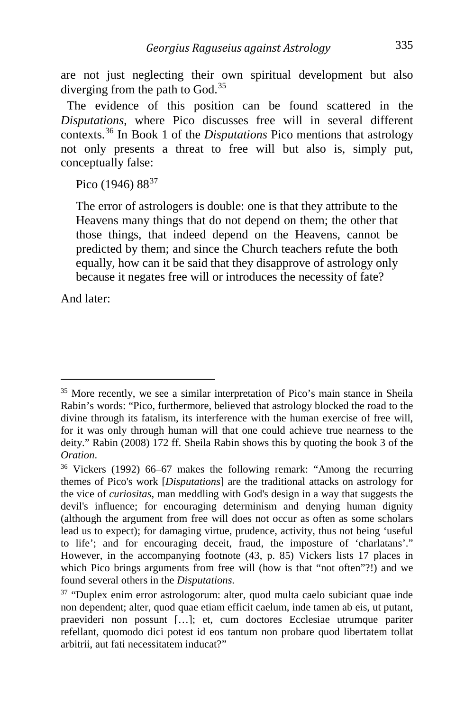are not just neglecting their own spiritual development but also diverging from the path to  $God.<sup>35</sup>$  $God.<sup>35</sup>$  $God.<sup>35</sup>$ 

 The evidence of this position can be found scattered in the *Disputations*, where Pico discusses free will in several different contexts.[36](#page-17-1) In Book 1 of the *Disputations* Pico mentions that astrology not only presents a threat to free will but also is, simply put, conceptually false:

Pico (1946)  $88^{37}$  $88^{37}$  $88^{37}$ 

The error of astrologers is double: one is that they attribute to the Heavens many things that do not depend on them; the other that those things, that indeed depend on the Heavens, cannot be predicted by them; and since the Church teachers refute the both equally, how can it be said that they disapprove of astrology only because it negates free will or introduces the necessity of fate?

And later:

<span id="page-17-0"></span>i, <sup>35</sup> More recently, we see a similar interpretation of Pico's main stance in Sheila Rabin's words: "Pico, furthermore, believed that astrology blocked the road to the divine through its fatalism, its interference with the human exercise of free will, for it was only through human will that one could achieve true nearness to the deity." Rabin (2008) 172 ff. Sheila Rabin shows this by quoting the book 3 of the *Oration*.

<span id="page-17-1"></span><sup>36</sup> Vickers (1992) 66–67 makes the following remark: "Among the recurring themes of Pico's work [*Disputations*] are the traditional attacks on astrology for the vice of *curiositas*, man meddling with God's design in a way that suggests the devil's influence; for encouraging determinism and denying human dignity (although the argument from free will does not occur as often as some scholars lead us to expect); for damaging virtue, prudence, activity, thus not being 'useful to life'; and for encouraging deceit, fraud, the imposture of 'charlatans'." However, in the accompanying footnote (43, p. 85) Vickers lists 17 places in which Pico brings arguments from free will (how is that "not often"?!) and we found several others in the *Disputations*.

<span id="page-17-2"></span><sup>&</sup>lt;sup>37</sup> "Duplex enim error astrologorum: alter, quod multa caelo subiciant quae inde non dependent; alter, quod quae etiam efficit caelum, inde tamen ab eis, ut putant, praevideri non possunt […]; et, cum doctores Ecclesiae utrumque pariter refellant, quomodo dici potest id eos tantum non probare quod libertatem tollat arbitrii, aut fati necessitatem inducat?"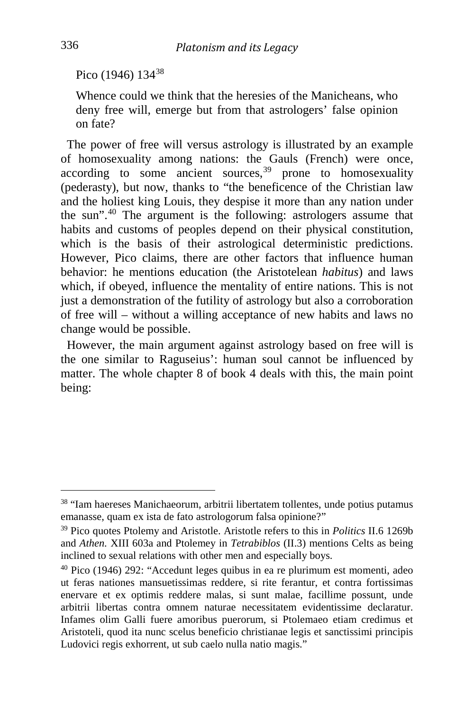Pico (1946) 134<sup>[38](#page-18-0)</sup>

Whence could we think that the heresies of the Manicheans, who deny free will, emerge but from that astrologers' false opinion on fate?

 The power of free will versus astrology is illustrated by an example of homosexuality among nations: the Gauls (French) were once, according to some ancient sources,<sup>[39](#page-18-1)</sup> prone to homosexuality (pederasty), but now, thanks to "the beneficence of the Christian law and the holiest king Louis, they despise it more than any nation under the sun".[40](#page-18-2) The argument is the following: astrologers assume that habits and customs of peoples depend on their physical constitution, which is the basis of their astrological deterministic predictions. However, Pico claims, there are other factors that influence human behavior: he mentions education (the Aristotelean *habitus*) and laws which, if obeyed, influence the mentality of entire nations. This is not just a demonstration of the futility of astrology but also a corroboration of free will – without a willing acceptance of new habits and laws no change would be possible.

 However, the main argument against astrology based on free will is the one similar to Raguseius': human soul cannot be influenced by matter. The whole chapter 8 of book 4 deals with this, the main point being:

<span id="page-18-0"></span><sup>38</sup> "Iam haereses Manichaeorum, arbitrii libertatem tollentes, unde potius putamus emanasse, quam ex ista de fato astrologorum falsa opinione?"

<span id="page-18-1"></span><sup>39</sup> Pico quotes Ptolemy and Aristotle. Aristotle refers to this in *Politics* II.6 1269b and *Athen.* XIII 603a and Ptolemey in *Tetrabiblos* (II.3) mentions Celts as being inclined to sexual relations with other men and especially boys.

<span id="page-18-2"></span><sup>40</sup> Pico (1946) 292: "Accedunt leges quibus in ea re plurimum est momenti, adeo ut feras nationes mansuetissimas reddere, si rite ferantur, et contra fortissimas enervare et ex optimis reddere malas, si sunt malae, facillime possunt, unde arbitrii libertas contra omnem naturae necessitatem evidentissime declaratur. Infames olim Galli fuere amoribus puerorum, si Ptolemaeo etiam credimus et Aristoteli, quod ita nunc scelus beneficio christianae legis et sanctissimi principis Ludovici regis exhorrent, ut sub caelo nulla natio magis."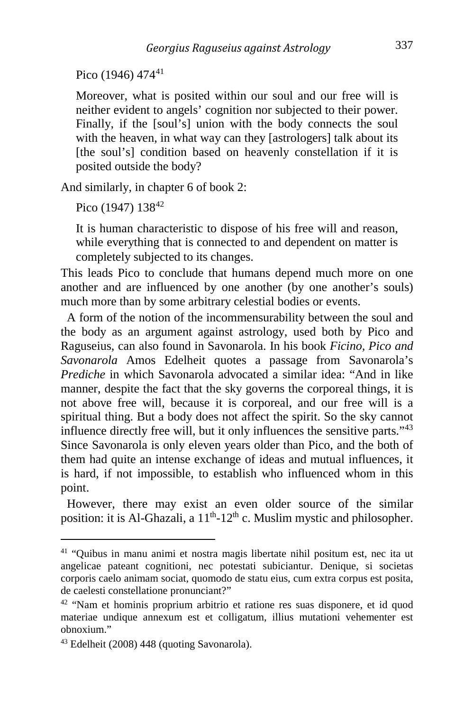Pico (1946) 474<sup>[41](#page-19-0)</sup>

Moreover, what is posited within our soul and our free will is neither evident to angels' cognition nor subjected to their power. Finally, if the [soul's] union with the body connects the soul with the heaven, in what way can they [astrologers] talk about its [the soul's] condition based on heavenly constellation if it is posited outside the body?

And similarly, in chapter 6 of book 2:

Pico (1947) 138<sup>[42](#page-19-1)</sup>

It is human characteristic to dispose of his free will and reason, while everything that is connected to and dependent on matter is completely subjected to its changes.

This leads Pico to conclude that humans depend much more on one another and are influenced by one another (by one another's souls) much more than by some arbitrary celestial bodies or events.

 A form of the notion of the incommensurability between the soul and the body as an argument against astrology, used both by Pico and Raguseius, can also found in Savonarola. In his book *Ficino, Pico and Savonarola* Amos Edelheit quotes a passage from Savonarola's *Prediche* in which Savonarola advocated a similar idea: "And in like manner, despite the fact that the sky governs the corporeal things, it is not above free will, because it is corporeal, and our free will is a spiritual thing. But a body does not affect the spirit. So the sky cannot influence directly free will, but it only influences the sensitive parts."[43](#page-19-2) Since Savonarola is only eleven years older than Pico, and the both of them had quite an intense exchange of ideas and mutual influences, it is hard, if not impossible, to establish who influenced whom in this point.

 However, there may exist an even older source of the similar position: it is Al-Ghazali, a  $11<sup>th</sup>$ -12<sup>th</sup> c. Muslim mystic and philosopher.

<span id="page-19-0"></span><sup>41</sup> "Quibus in manu animi et nostra magis libertate nihil positum est, nec ita ut angelicae pateant cognitioni, nec potestati subiciantur. Denique, si societas corporis caelo animam sociat, quomodo de statu eius, cum extra corpus est posita, de caelesti constellatione pronunciant?"

<span id="page-19-1"></span> $42$  "Nam et hominis proprium arbitrio et ratione res suas disponere, et id quod materiae undique annexum est et colligatum, illius mutationi vehementer est obnoxium."

<span id="page-19-2"></span><sup>43</sup> Edelheit (2008) 448 (quoting Savonarola).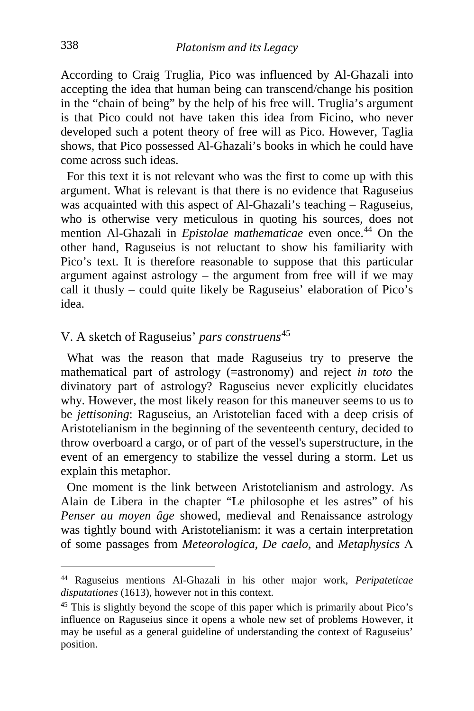According to Craig Truglia, Pico was influenced by Al-Ghazali into accepting the idea that human being can transcend/change his position in the "chain of being" by the help of his free will. Truglia's argument is that Pico could not have taken this idea from Ficino, who never developed such a potent theory of free will as Pico. However, Taglia shows, that Pico possessed Al-Ghazali's books in which he could have come across such ideas.

 For this text it is not relevant who was the first to come up with this argument. What is relevant is that there is no evidence that Raguseius was acquainted with this aspect of Al-Ghazali's teaching – Raguseius, who is otherwise very meticulous in quoting his sources, does not mention Al-Ghazali in *Epistolae mathematicae* even once.<sup>[44](#page-20-0)</sup> On the other hand, Raguseius is not reluctant to show his familiarity with Pico's text. It is therefore reasonable to suppose that this particular argument against astrology – the argument from free will if we may call it thusly – could quite likely be Raguseius' elaboration of Pico's idea.

#### V. A sketch of Raguseius' *pars construens*[45](#page-20-1)

 What was the reason that made Raguseius try to preserve the mathematical part of astrology (=astronomy) and reject *in toto* the divinatory part of astrology? Raguseius never explicitly elucidates why. However, the most likely reason for this maneuver seems to us to be *jettisoning*: Raguseius, an Aristotelian faced with a deep crisis of Aristotelianism in the beginning of the seventeenth century, decided to throw overboard a cargo, or of part of the vessel's superstructure, in the event of an emergency to stabilize the vessel during a storm. Let us explain this metaphor.

 One moment is the link between Aristotelianism and astrology. As Alain de Libera in the chapter "Le philosophe et les astres" of his *Penser au moyen âge* showed, medieval and Renaissance astrology was tightly bound with Aristotelianism: it was a certain interpretation of some passages from *Meteorologica*, *De caelo*, and *Metaphysics* Λ

i,

<span id="page-20-0"></span><sup>44</sup> Raguseius mentions Al-Ghazali in his other major work, *Peripateticae disputationes* (1613), however not in this context.

<span id="page-20-1"></span><sup>45</sup> This is slightly beyond the scope of this paper which is primarily about Pico's influence on Raguseius since it opens a whole new set of problems However, it may be useful as a general guideline of understanding the context of Raguseius' position.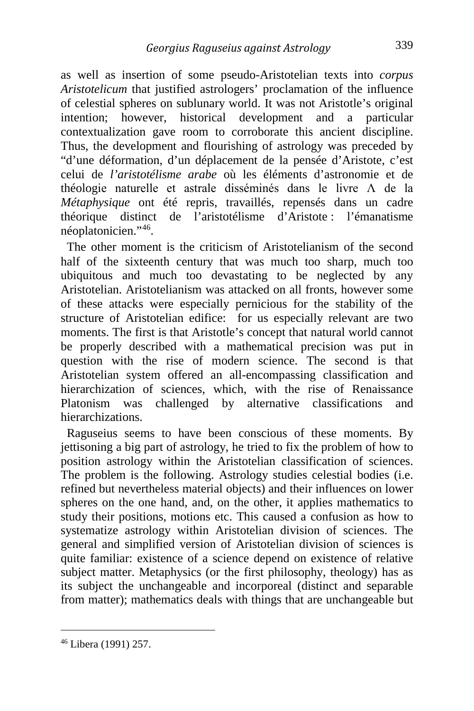as well as insertion of some pseudo-Aristotelian texts into *corpus Aristotelicum* that justified astrologers' proclamation of the influence of celestial spheres on sublunary world. It was not Aristotle's original intention; however, historical development and a particular contextualization gave room to corroborate this ancient discipline. Thus, the development and flourishing of astrology was preceded by "d'une déformation, d'un déplacement de la pensée d'Aristote, c'est celui de *l'aristotélisme arabe* où les éléments d'astronomie et de théologie naturelle et astrale disséminés dans le livre Λ de la *Métaphysique* ont été repris, travaillés, repensés dans un cadre théorique distinct de l'aristotélisme d'Aristote : l'émanatisme néoplatonicien."[46.](#page-21-0)

 The other moment is the criticism of Aristotelianism of the second half of the sixteenth century that was much too sharp, much too ubiquitous and much too devastating to be neglected by any Aristotelian. Aristotelianism was attacked on all fronts, however some of these attacks were especially pernicious for the stability of the structure of Aristotelian edifice: for us especially relevant are two moments. The first is that Aristotle's concept that natural world cannot be properly described with a mathematical precision was put in question with the rise of modern science. The second is that Aristotelian system offered an all-encompassing classification and hierarchization of sciences, which, with the rise of Renaissance Platonism was challenged by alternative classifications and hierarchizations.

 Raguseius seems to have been conscious of these moments. By jettisoning a big part of astrology, he tried to fix the problem of how to position astrology within the Aristotelian classification of sciences. The problem is the following. Astrology studies celestial bodies (i.e. refined but nevertheless material objects) and their influences on lower spheres on the one hand, and, on the other, it applies mathematics to study their positions, motions etc. This caused a confusion as how to systematize astrology within Aristotelian division of sciences. The general and simplified version of Aristotelian division of sciences is quite familiar: existence of a science depend on existence of relative subject matter. Metaphysics (or the first philosophy, theology) has as its subject the unchangeable and incorporeal (distinct and separable from matter); mathematics deals with things that are unchangeable but

<span id="page-21-0"></span><sup>46</sup> Libera (1991) 257.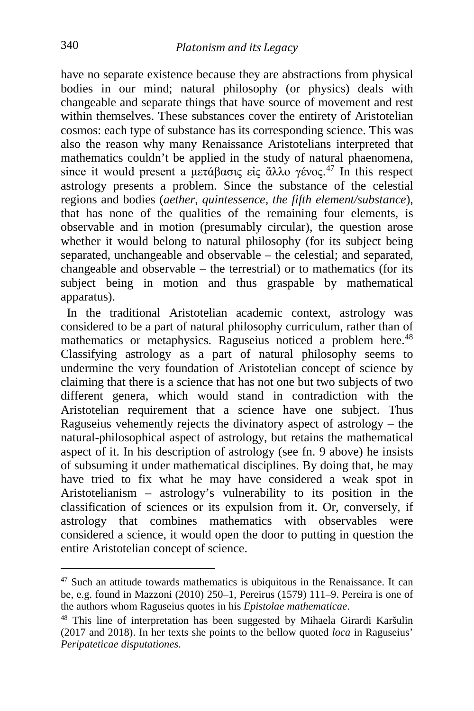have no separate existence because they are abstractions from physical bodies in our mind; natural philosophy (or physics) deals with changeable and separate things that have source of movement and rest within themselves. These substances cover the entirety of Aristotelian cosmos: each type of substance has its corresponding science. This was also the reason why many Renaissance Aristotelians interpreted that mathematics couldn't be applied in the study of natural phaenomena, since it would present a μετάβασις είς άλλο γένος.<sup>[47](#page-22-0)</sup> In this respect astrology presents a problem. Since the substance of the celestial regions and bodies (*aether*, *quintessence, the fifth element/substance*), that has none of the qualities of the remaining four elements, is observable and in motion (presumably circular), the question arose whether it would belong to natural philosophy (for its subject being separated, unchangeable and observable – the celestial; and separated, changeable and observable – the terrestrial) or to mathematics (for its subject being in motion and thus graspable by mathematical apparatus).

 In the traditional Aristotelian academic context, astrology was considered to be a part of natural philosophy curriculum, rather than of mathematics or metaphysics. Raguseius noticed a problem here.<sup>[48](#page-22-1)</sup> Classifying astrology as a part of natural philosophy seems to undermine the very foundation of Aristotelian concept of science by claiming that there is a science that has not one but two subjects of two different genera, which would stand in contradiction with the Aristotelian requirement that a science have one subject. Thus Raguseius vehemently rejects the divinatory aspect of astrology – the natural-philosophical aspect of astrology, but retains the mathematical aspect of it. In his description of astrology (see fn. 9 above) he insists of subsuming it under mathematical disciplines. By doing that, he may have tried to fix what he may have considered a weak spot in Aristotelianism – astrology's vulnerability to its position in the classification of sciences or its expulsion from it. Or, conversely, if astrology that combines mathematics with observables were considered a science, it would open the door to putting in question the entire Aristotelian concept of science.

<span id="page-22-0"></span> $47$  Such an attitude towards mathematics is ubiquitous in the Renaissance. It can be, e.g. found in Mazzoni (2010) 250–1, Pereirus (1579) 111–9. Pereira is one of the authors whom Raguseius quotes in his *Epistolae mathematicae*.

<span id="page-22-1"></span><sup>48</sup> This line of interpretation has been suggested by Mihaela Girardi Karšulin (2017 and 2018). In her texts she points to the bellow quoted *loca* in Raguseius' *Peripateticae disputationes*.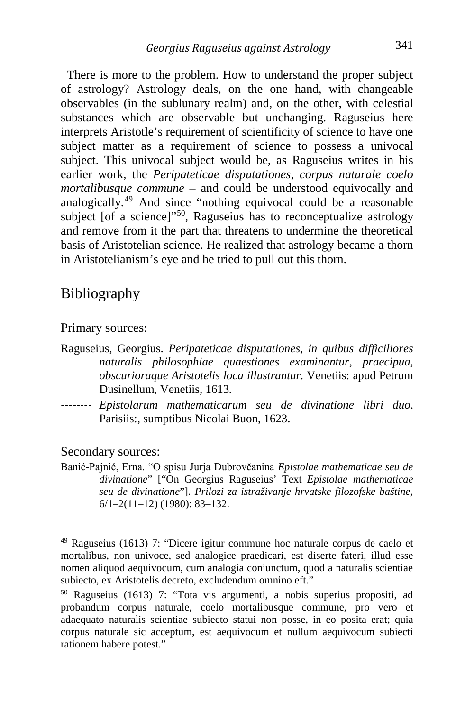There is more to the problem. How to understand the proper subject of astrology? Astrology deals, on the one hand, with changeable observables (in the sublunary realm) and, on the other, with celestial substances which are observable but unchanging. Raguseius here interprets Aristotle's requirement of scientificity of science to have one subject matter as a requirement of science to possess a univocal subject. This univocal subject would be, as Raguseius writes in his earlier work, the *Peripateticae disputationes*, *corpus naturale coelo mortalibusque commune* – and could be understood equivocally and analogically.[49](#page-23-0) And since "nothing equivocal could be a reasonable subject [of a science]<sup>"50</sup>, Raguseius has to reconceptualize astrology and remove from it the part that threatens to undermine the theoretical basis of Aristotelian science. He realized that astrology became a thorn in Aristotelianism's eye and he tried to pull out this thorn.

#### Bibliography

#### Primary sources:

- Raguseius, Georgius. *Peripateticae disputationes, in quibus difficiliores naturalis philosophiae quaestiones examinantur, praecipua, obscurioraque Aristotelis loca illustrantur.* Venetiis: apud Petrum Dusinellum, Venetiis, 1613.
- -------- *Epistolarum mathematicarum seu de divinatione libri duo*. Parisiis:, sumptibus Nicolai Buon, 1623.

#### Secondary sources:

Banić-Pajnić, Erna. "O spisu Jurja Dubrovčanina *Epistolae mathematicae seu de divinatione*" ["On Georgius Raguseius' Text *Epistolae mathematicae seu de divinatione*"]. *Prilozi za istraživanje hrvatske filozofske baštine*, 6/1–2(11–12) (1980): 83–132.

<span id="page-23-0"></span><sup>49</sup> Raguseius (1613) 7: "Dicere igitur commune hoc naturale corpus de caelo et mortalibus, non univoce, sed analogice praedicari, est diserte fateri, illud esse nomen aliquod aequivocum, cum analogia coniunctum, quod a naturalis scientiae subiecto, ex Aristotelis decreto, excludendum omnino eft."

<span id="page-23-1"></span><sup>50</sup> Raguseius (1613) 7: "Tota vis argumenti, a nobis superius propositi, ad probandum corpus naturale, coelo mortalibusque commune, pro vero et adaequato naturalis scientiae subiecto statui non posse, in eo posita erat; quia corpus naturale sic acceptum, est aequivocum et nullum aequivocum subiecti rationem habere potest."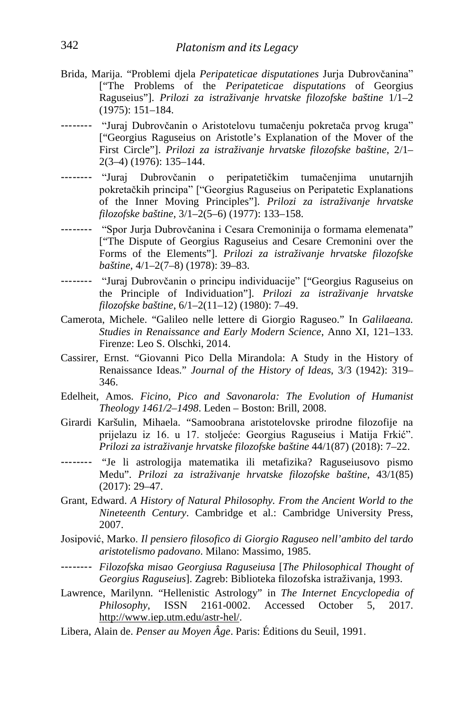- Brida, Marija. "Problemi djela *Peripateticae disputationes* Jurja Dubrovčanina" ["The Problems of the *Peripateticae disputations* of Georgius Raguseius"]. *Prilozi za istraživanje hrvatske filozofske baštine* 1/1–2 (1975): 151–184.
- -------- "Juraj Dubrovčanin o Aristotelovu tumačenju pokretača prvog kruga" ["Georgius Raguseius on Aristotle's Explanation of the Mover of the First Circle"]. *Prilozi za istraživanje hrvatske filozofske baštine*, 2/1– 2(3–4) (1976): 135–144.
- -------- "Juraj Dubrovčanin o peripatetičkim tumačenjima unutarnjih pokretačkih principa" ["Georgius Raguseius on Peripatetic Explanations of the Inner Moving Principles"]. *Prilozi za istraživanje hrvatske filozofske baštine*, 3/1–2(5–6) (1977): 133–158.
- -------- "Spor Jurja Dubrovčanina i Cesara Cremoninija o formama elemenata" ["The Dispute of Georgius Raguseius and Cesare Cremonini over the Forms of the Elements"]. *Prilozi za istraživanje hrvatske filozofske baštine*, 4/1–2(7–8) (1978): 39–83.
- -------- "Juraj Dubrovčanin o principu individuacije" ["Georgius Raguseius on the Principle of Individuation"]. *Prilozi za istraživanje hrvatske filozofske baštine*, 6/1–2(11–12) (1980): 7–49.
- Camerota, Michele. "Galileo nelle lettere di Giorgio Raguseo." In *Galilaeana. Studies in Renaissance and Early Modern Science*, Anno XI, 121–133. Firenze: Leo S. Olschki, 2014.
- Cassirer, Ernst. "Giovanni Pico Della Mirandola: A Study in the History of Renaissance Ideas." *Journal of the History of Ideas*, 3/3 (1942): 319– 346.
- Edelheit, Amos. *Ficino, Pico and Savonarola: The Evolution of Humanist Theology 1461/2–1498*. Leden – Boston: Brill, 2008.
- Girardi Karšulin, Mihaela. "Samoobrana aristotelovske prirodne filozofije na prijelazu iz 16. u 17. stoljeće: Georgius Raguseius i Matija Frkić". *Prilozi za istraživanje hrvatske filozofske baštine* 44/1(87) (2018): 7–22.
- -------- "Je li astrologija matematika ili metafizika? Raguseiusovo pismo Medu". *Prilozi za istraživanje hrvatske filozofske baštine*, 43/1(85) (2017): 29–47.
- Grant, Edward. *A History of Natural Philosophy. From the Ancient World to the Nineteenth Century*. Cambridge et al.: Cambridge University Press, 2007.
- Josipović, Marko. *Il pensiero filosofico di Giorgio Raguseo nell'ambito del tardo aristotelismo padovano*. Milano: Massimo, 1985.
- -------- *Filozofska misao Georgiusa Raguseiusa* [*The Philosophical Thought of Georgius Raguseius*]. Zagreb: Biblioteka filozofska istraživanja, 1993.
- Lawrence, Marilynn. "Hellenistic Astrology" in *The Internet Encyclopedia of Philosophy*, ISSN 2161-0002. Accessed October 5, 2017. [http://www.iep.utm.edu/astr-hel/.](http://www.iep.utm.edu/astr-hel/)
- Libera, Alain de. *Penser au Moyen Âge*. Paris: Éditions du Seuil, 1991.